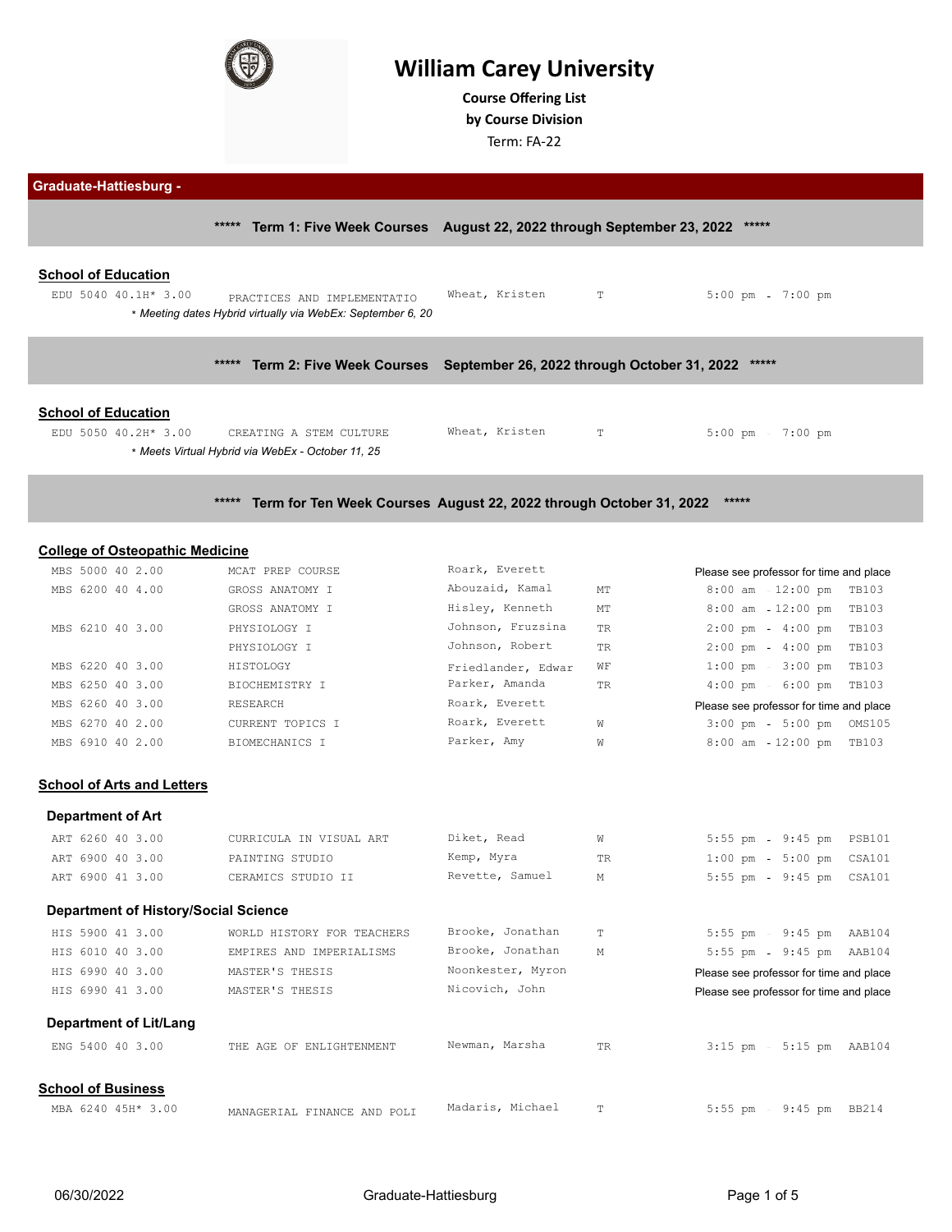

# **William Carey University**

**Course Ofering List by Course Division**

Term: FA-22

| <b>Graduate-Hattiesburg -</b> |  |
|-------------------------------|--|
|-------------------------------|--|

**\*\*\*\*\* Term 1: Five Week Courses August 22, 2022 through September 23, 2022 \*\*\*\*\***

| EDU 5040 40.1H* 3.00 | PRACTICES AND IMPLEMENTATIO                               | Wheat, Kristen | T | 5:00 pm 7:00 pm |  |
|----------------------|-----------------------------------------------------------|----------------|---|-----------------|--|
|                      | Meeting dates Hybrid virtually via WebEx: September 6, 20 |                |   |                 |  |

**\*\*\*\*\* Term 2: Five Week Courses September 26, 2022 through October 31, 2022 \*\*\*\*\***

#### **School of Education**

| EDU 5050 40.2H* 3.00 | CREATING A STEM CULTURE                           | Wheat, Kristen | $5:00 \text{ pm}$ 7:00 pm |
|----------------------|---------------------------------------------------|----------------|---------------------------|
|                      | * Meets Virtual Hybrid via WebEx - October 11, 25 |                |                           |

### **\*\*\*\*\* Term for Ten Week Courses August 22, 2022 through October 31, 2022 \*\*\*\*\***

#### **College of Osteopathic Medicine**

| MBS 5000 40 2.00 | MCAT PREP COURSE | Roark, Everett     |           | Please see professor for time and place             |
|------------------|------------------|--------------------|-----------|-----------------------------------------------------|
| MBS 6200 40 4.00 | GROSS ANATOMY I  | Abouzaid, Kamal    | MT        | 8:00 am 12:00 pm TB103                              |
|                  | GROSS ANATOMY I  | Hisley, Kenneth    | MT        | 8:00 am - 12:00 pm TB103                            |
| MBS 6210 40 3.00 | PHYSIOLOGY I     | Johnson, Fruzsina  | TR        | $2:00 \text{ pm } - 4:00 \text{ pm }$ TB103         |
|                  | PHYSIOLOGY I     | Johnson, Robert    | <b>TR</b> | 4:00 pm TB103<br>$2:00$ pm                          |
| MBS 6220 40 3.00 | HISTOLOGY        | Friedlander, Edwar | WF        | $1:00 \text{ pm } - 3:00 \text{ pm } \text{ T}B103$ |
| MBS 6250 40 3.00 | BIOCHEMISTRY I   | Parker, Amanda     | TR        | $4:00 \text{ pm} = 6:00 \text{ pm}$ TB103           |
| MBS 6260 40 3.00 | RESEARCH         | Roark, Everett     |           | Please see professor for time and place             |
| MBS 6270 40 2.00 | CURRENT TOPICS I | Roark, Everett     | W         | $3:00 \text{ pm} = 5:00 \text{ pm}$ OMS105          |
| MBS 6910 40 2.00 | BIOMECHANICS I   | Parker, Amy        | W         | 8:00 am - 12:00 pm TB103                            |

### **School of Arts and Letters**

**Department of History/Social Science**

#### **Department of Art**

| ART 6260 40 3.00 | CURRICULA IN VISUAL ART | Diket, Read     | W   | 5:55 pm 9:45 pm PSB101                     |  |
|------------------|-------------------------|-----------------|-----|--------------------------------------------|--|
| ART 6900 40 3.00 | PAINTING STUDIO         | Kemp, Myra      | TR. | $1:00 \text{ pm} = 5:00 \text{ pm}$ CSA101 |  |
| ART 6900 41 3.00 | CERAMICS STUDIO II      | Revette, Samuel | M   | 5:55 pm 9:45 pm CSA101                     |  |
|                  |                         |                 |     |                                            |  |

## HIS 5900 41 3.00 WORLD HISTORY FOR TEACHERS Brooke, Jonathan T 5:55 pm - 9:45 pm AAB104 HIS 6010 40 3.00 EMPIRES AND IMPERIALISMS Brooke, Jonathan M 5:55 pm 9:45 pm AAB104 HIS 6990 40 3.00 MASTER'S THESIS Noonkester, Myron Please see professor for time and place HIS 6990 41 3.00 MASTER'S THESIS Nicovich, John Please see professor for time and place

#### **Department of Lit/Lang**

| <b>Department or Englang</b> |                             |                  |              |                               |               |  |
|------------------------------|-----------------------------|------------------|--------------|-------------------------------|---------------|--|
| ENG 5400 40 3.00             | THE AGE OF ENLIGHTENMENT    | Newman, Marsha   | TR           | $3:15$ pm $-5:15$ pm $AAB104$ |               |  |
| <b>School of Business</b>    |                             |                  |              |                               |               |  |
| MBA 6240 45H* 3.00           | MANAGERIAL FINANCE AND POLI | Madaris, Michael | $\mathbb{R}$ | 5:55 pm                       | 9:45 pm BB214 |  |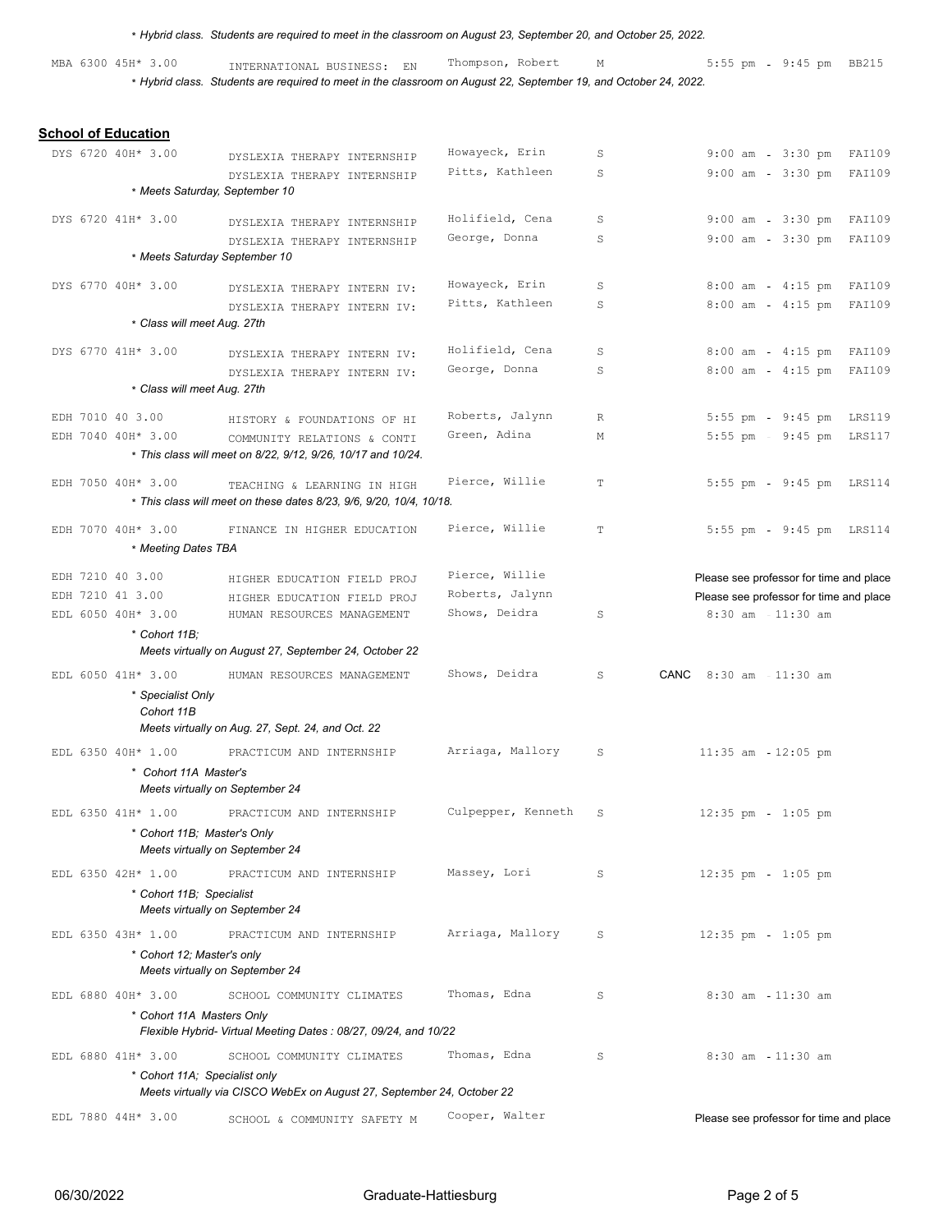|  |                                        | * Hybrid class. Students are required to meet in the classroom on August 23, September 20, and October 25, 2022.                               |                                 |             |                                                      |        |
|--|----------------------------------------|------------------------------------------------------------------------------------------------------------------------------------------------|---------------------------------|-------------|------------------------------------------------------|--------|
|  | MBA 6300 45H* 3.00                     | INTERNATIONAL BUSINESS: EN<br>* Hybrid class. Students are required to meet in the classroom on August 22, September 19, and October 24, 2022. | Thompson, Robert                | М           | 5:55 pm - 9:45 pm BB215                              |        |
|  |                                        |                                                                                                                                                |                                 |             |                                                      |        |
|  | <b>School of Education</b>             |                                                                                                                                                |                                 |             |                                                      |        |
|  | DYS 6720 40H* 3.00                     | DYSLEXIA THERAPY INTERNSHIP                                                                                                                    | Howayeck, Erin                  | S           | 9:00 am - 3:30 pm FAI109                             |        |
|  |                                        | DYSLEXIA THERAPY INTERNSHIP                                                                                                                    | Pitts, Kathleen                 | S           | $3:30$ pm<br>$9:00$ am                               | FAI109 |
|  |                                        | * Meets Saturday, September 10                                                                                                                 |                                 |             |                                                      |        |
|  | DYS 6720 41H* 3.00                     | DYSLEXIA THERAPY INTERNSHIP                                                                                                                    | Holifield, Cena                 | S           | 9:00 am - 3:30 pm FAI109                             |        |
|  |                                        | DYSLEXIA THERAPY INTERNSHIP                                                                                                                    | George, Donna                   | S           | $9:00$ am<br>3:30 pm FAI109                          |        |
|  |                                        | * Meets Saturday September 10                                                                                                                  |                                 |             |                                                      |        |
|  | DYS 6770 40H* 3.00                     |                                                                                                                                                | Howayeck, Erin                  | S           | $8:00$ am<br>4:15 pm FAI109                          |        |
|  |                                        | DYSLEXIA THERAPY INTERN IV:<br>DYSLEXIA THERAPY INTERN IV:                                                                                     | Pitts, Kathleen                 | S           | $8:00$ am<br>$4:15$ pm                               | FAI109 |
|  |                                        | * Class will meet Aug. 27th                                                                                                                    |                                 |             |                                                      |        |
|  | DYS 6770 41H* 3.00                     |                                                                                                                                                | Holifield, Cena                 | S           | $8:00$ am                                            |        |
|  |                                        | DYSLEXIA THERAPY INTERN IV:                                                                                                                    | George, Donna                   | S           | 4:15 pm FAI109<br>8:00 am - 4:15 pm FAI109           |        |
|  |                                        | DYSLEXIA THERAPY INTERN IV:<br>* Class will meet Aug. 27th                                                                                     |                                 |             |                                                      |        |
|  |                                        |                                                                                                                                                |                                 |             |                                                      |        |
|  | EDH 7010 40 3.00<br>EDH 7040 40H* 3.00 | HISTORY & FOUNDATIONS OF HI                                                                                                                    | Roberts, Jalynn<br>Green, Adina | R<br>М      | 5:55 pm - 9:45 pm LRS119<br>5:55 pm - 9:45 pm LRS117 |        |
|  |                                        | COMMUNITY RELATIONS & CONTI<br>* This class will meet on 8/22, 9/12, 9/26, 10/17 and 10/24.                                                    |                                 |             |                                                      |        |
|  |                                        |                                                                                                                                                |                                 |             |                                                      |        |
|  | EDH 7050 40H* 3.00                     | TEACHING & LEARNING IN HIGH<br>* This class will meet on these dates 8/23, 9/6, 9/20, 10/4, 10/18.                                             | Pierce, Willie                  | T           | 5:55 pm - 9:45 pm LRS114                             |        |
|  | EDH 7070 40H* 3.00                     | FINANCE IN HIGHER EDUCATION                                                                                                                    | Pierce, Willie                  | $\mathbb T$ | 5:55 pm - 9:45 pm LRS114                             |        |
|  |                                        | * Meeting Dates TBA                                                                                                                            |                                 |             |                                                      |        |
|  | EDH 7210 40 3.00                       |                                                                                                                                                | Pierce, Willie                  |             | Please see professor for time and place              |        |
|  | EDH 7210 41 3.00                       | HIGHER EDUCATION FIELD PROJ<br>HIGHER EDUCATION FIELD PROJ                                                                                     | Roberts, Jalynn                 |             | Please see professor for time and place              |        |
|  | EDL 6050 40H* 3.00                     | HUMAN RESOURCES MANAGEMENT                                                                                                                     | Shows, Deidra                   | S           | 8:30 am 11:30 am                                     |        |
|  |                                        | * Cohort 11B:                                                                                                                                  |                                 |             |                                                      |        |
|  |                                        | Meets virtually on August 27, September 24, October 22                                                                                         |                                 |             |                                                      |        |
|  | EDL 6050 41H* 3.00                     | HUMAN RESOURCES MANAGEMENT                                                                                                                     | Shows, Deidra                   | S           | CANC 8:30 am 11:30 am                                |        |
|  |                                        | * Specialist Only                                                                                                                              |                                 |             |                                                      |        |
|  |                                        | Cohort 11B                                                                                                                                     |                                 |             |                                                      |        |
|  |                                        | Meets virtually on Aug. 27, Sept. 24, and Oct. 22                                                                                              |                                 |             |                                                      |        |
|  | EDL 6350 40H* 1.00                     | PRACTICUM AND INTERNSHIP                                                                                                                       | Arriaga, Mallory                | S           | $11:35$ am $-12:05$ pm                               |        |
|  |                                        | * Cohort 11A Master's<br>Meets virtually on September 24                                                                                       |                                 |             |                                                      |        |
|  |                                        |                                                                                                                                                | Culpepper, Kenneth              |             |                                                      |        |
|  | EDL 6350 41H* 1.00                     | PRACTICUM AND INTERNSHIP                                                                                                                       |                                 | S           | $12:35$ pm - $1:05$ pm                               |        |
|  |                                        | * Cohort 11B; Master's Only<br>Meets virtually on September 24                                                                                 |                                 |             |                                                      |        |
|  | EDL 6350 42H* 1.00                     | PRACTICUM AND INTERNSHIP                                                                                                                       | Massey, Lori                    | S           | $12:35$ pm - $1:05$ pm                               |        |
|  |                                        | * Cohort 11B; Specialist                                                                                                                       |                                 |             |                                                      |        |
|  |                                        | Meets virtually on September 24                                                                                                                |                                 |             |                                                      |        |
|  | EDL 6350 43H* 1.00                     | PRACTICUM AND INTERNSHIP                                                                                                                       | Arriaga, Mallory                | S           | $12:35$ pm<br>$1:05$ pm                              |        |
|  |                                        | * Cohort 12; Master's only                                                                                                                     |                                 |             |                                                      |        |
|  |                                        | Meets virtually on September 24                                                                                                                |                                 |             |                                                      |        |
|  | EDL 6880 40H* 3.00                     | SCHOOL COMMUNITY CLIMATES                                                                                                                      | Thomas, Edna                    | S           | 8:30 am 11:30 am                                     |        |
|  |                                        | * Cohort 11A Masters Only<br>Flexible Hybrid- Virtual Meeting Dates: 08/27, 09/24, and 10/22                                                   |                                 |             |                                                      |        |
|  | EDL 6880 41H* 3.00                     | SCHOOL COMMUNITY CLIMATES                                                                                                                      | Thomas, Edna                    | S           | 8:30 am 11:30 am                                     |        |
|  |                                        | * Cohort 11A; Specialist only                                                                                                                  |                                 |             |                                                      |        |
|  |                                        | Meets virtually via CISCO WebEx on August 27, September 24, October 22                                                                         |                                 |             |                                                      |        |
|  | EDL 7880 44H* 3.00                     | SCHOOL & COMMUNITY SAFETY M                                                                                                                    | Cooper, Walter                  |             | Please see professor for time and place              |        |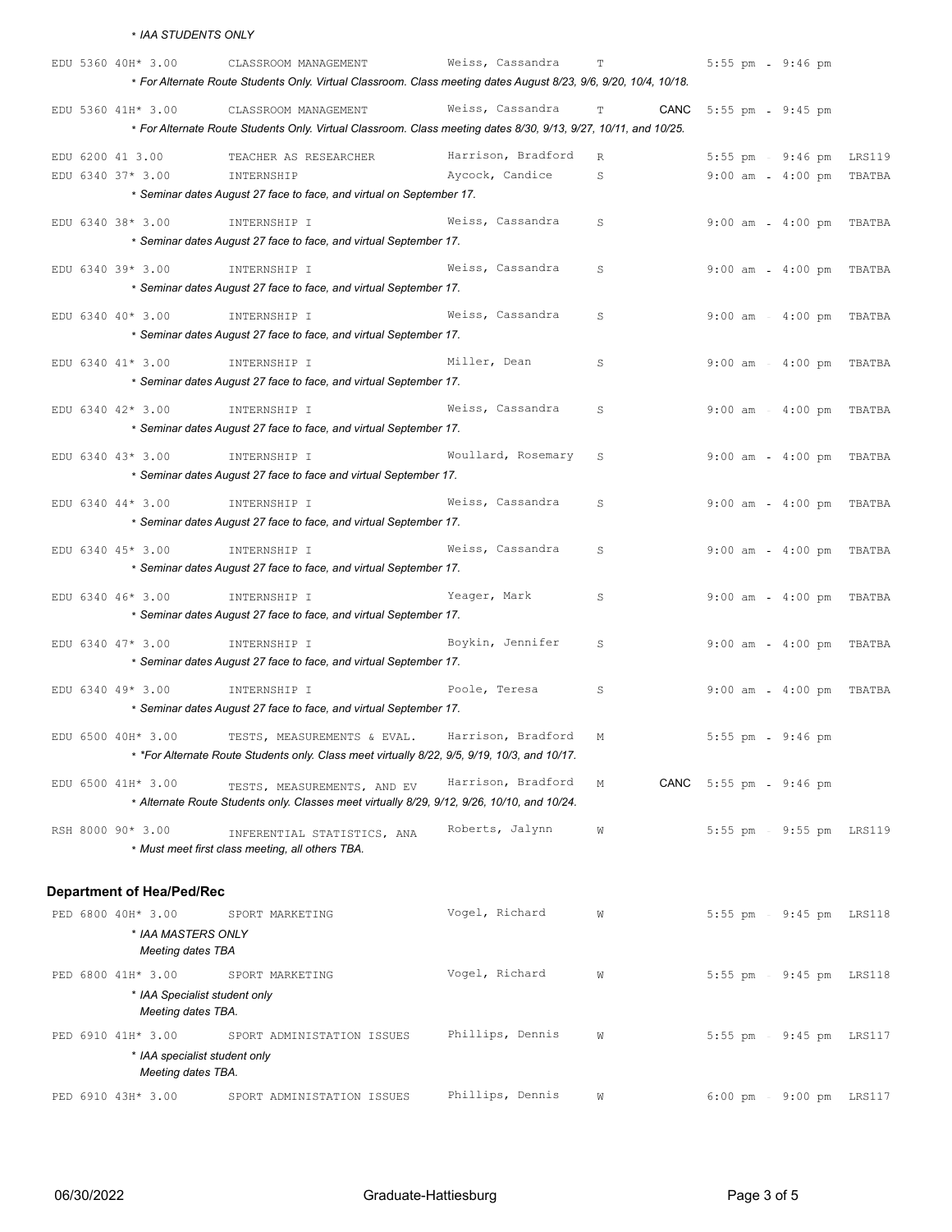\* *IAA STUDENTS ONLY*

|  | EDU 5360 40H* 3.00 |                                                     | CLASSROOM MANAGEMENT                                                                                                        | Weiss, Cassandra   | $\mathbb T$  |      | 5:55 pm - 9:46 pm        |                |  |
|--|--------------------|-----------------------------------------------------|-----------------------------------------------------------------------------------------------------------------------------|--------------------|--------------|------|--------------------------|----------------|--|
|  |                    |                                                     | * For Alternate Route Students Only. Virtual Classroom. Class meeting dates August 8/23, 9/6, 9/20, 10/4, 10/18.            |                    |              |      |                          |                |  |
|  | EDU 5360 41H* 3.00 |                                                     | CLASSROOM MANAGEMENT                                                                                                        | Weiss, Cassandra   | T            | CANC | 5:55 pm                  | $9:45$ pm      |  |
|  |                    |                                                     | * For Alternate Route Students Only. Virtual Classroom. Class meeting dates 8/30, 9/13, 9/27, 10/11, and 10/25.             |                    |              |      |                          |                |  |
|  | EDU 6200 41 3.00   |                                                     | TEACHER AS RESEARCHER                                                                                                       | Harrison, Bradford | $\mathbb{R}$ |      | $5:55$ pm                | 9:46 pm LRS119 |  |
|  | EDU 6340 37* 3.00  |                                                     | INTERNSHIP                                                                                                                  | Aycock, Candice    | S            |      | 9:00 am - 4:00 pm TBATBA |                |  |
|  |                    |                                                     | * Seminar dates August 27 face to face, and virtual on September 17.                                                        |                    |              |      |                          |                |  |
|  | EDU 6340 38* 3.00  |                                                     | INTERNSHIP I                                                                                                                | Weiss, Cassandra   | S            |      | $9:00$ am                | 4:00 pm TBATBA |  |
|  |                    |                                                     | * Seminar dates August 27 face to face, and virtual September 17.                                                           |                    |              |      |                          |                |  |
|  |                    |                                                     |                                                                                                                             |                    |              |      |                          |                |  |
|  | EDU 6340 39* 3.00  |                                                     | INTERNSHIP I                                                                                                                | Weiss, Cassandra   | S            |      | $9:00$ am                | 4:00 pm TBATBA |  |
|  |                    |                                                     | * Seminar dates August 27 face to face, and virtual September 17.                                                           |                    |              |      |                          |                |  |
|  | EDU 6340 40* 3.00  |                                                     | INTERNSHIP I                                                                                                                | Weiss, Cassandra   | S            |      | $9:00$ am                | 4:00 pm TBATBA |  |
|  |                    |                                                     | * Seminar dates August 27 face to face, and virtual September 17.                                                           |                    |              |      |                          |                |  |
|  | EDU 6340 41* 3.00  |                                                     | INTERNSHIP I                                                                                                                | Miller, Dean       | S            |      | $9:00$ am                | 4:00 pm TBATBA |  |
|  |                    |                                                     | * Seminar dates August 27 face to face, and virtual September 17.                                                           |                    |              |      |                          |                |  |
|  | EDU 6340 42* 3.00  |                                                     | INTERNSHIP I                                                                                                                | Weiss, Cassandra   | S            |      | 9:00 am - 4:00 pm TBATBA |                |  |
|  |                    |                                                     | * Seminar dates August 27 face to face, and virtual September 17.                                                           |                    |              |      |                          |                |  |
|  | EDU 6340 43* 3.00  |                                                     | INTERNSHIP I                                                                                                                | Woullard, Rosemary | S            |      | 9:00 am - 4:00 pm TBATBA |                |  |
|  |                    |                                                     | * Seminar dates August 27 face to face and virtual September 17.                                                            |                    |              |      |                          |                |  |
|  |                    |                                                     |                                                                                                                             |                    |              |      |                          |                |  |
|  | EDU 6340 44* 3.00  |                                                     | INTERNSHIP I<br>* Seminar dates August 27 face to face, and virtual September 17.                                           | Weiss, Cassandra   | S            |      | 9:00 am - 4:00 pm TBATBA |                |  |
|  |                    |                                                     |                                                                                                                             |                    |              |      |                          |                |  |
|  | EDU 6340 45* 3.00  |                                                     | INTERNSHIP I                                                                                                                | Weiss, Cassandra   | S            |      | 9:00 am - 4:00 pm TBATBA |                |  |
|  |                    |                                                     | * Seminar dates August 27 face to face, and virtual September 17.                                                           |                    |              |      |                          |                |  |
|  | EDU 6340 46* 3.00  |                                                     | INTERNSHIP I                                                                                                                | Yeager, Mark       | S            |      | $9:00$ am                | 4:00 pm TBATBA |  |
|  |                    |                                                     | * Seminar dates August 27 face to face, and virtual September 17.                                                           |                    |              |      |                          |                |  |
|  | EDU 6340 47* 3.00  |                                                     | INTERNSHIP I                                                                                                                | Boykin, Jennifer   | S            |      | $9:00$ am                | 4:00 pm TBATBA |  |
|  |                    |                                                     | * Seminar dates August 27 face to face, and virtual September 17.                                                           |                    |              |      |                          |                |  |
|  | EDU 6340 49* 3.00  |                                                     | INTERNSHIP I                                                                                                                | Poole, Teresa      | S            |      | $9:00$ am                | 4:00 pm TBATBA |  |
|  |                    |                                                     | * Seminar dates August 27 face to face, and virtual September 17.                                                           |                    |              |      |                          |                |  |
|  |                    |                                                     |                                                                                                                             |                    |              |      |                          |                |  |
|  | EDU 6500 40H* 3.00 |                                                     | TESTS, MEASUREMENTS & EVAL.<br>* *For Alternate Route Students only. Class meet virtually 8/22, 9/5, 9/19, 10/3, and 10/17. | Harrison, Bradford | М            |      | $5:55$ pm                | $9:46$ pm      |  |
|  |                    |                                                     |                                                                                                                             |                    |              |      |                          |                |  |
|  | EDU 6500 41H* 3.00 |                                                     | TESTS, MEASUREMENTS, AND EV                                                                                                 | Harrison, Bradford | М            |      | CANC 5:55 pm - 9:46 pm   |                |  |
|  |                    |                                                     | * Alternate Route Students only. Classes meet virtually 8/29, 9/12, 9/26, 10/10, and 10/24.                                 |                    |              |      |                          |                |  |
|  | RSH 8000 90* 3.00  |                                                     | INFERENTIAL STATISTICS, ANA                                                                                                 | Roberts, Jalynn    | W            |      | 5:55 pm - 9:55 pm LRS119 |                |  |
|  |                    |                                                     | * Must meet first class meeting, all others TBA.                                                                            |                    |              |      |                          |                |  |
|  |                    |                                                     |                                                                                                                             |                    |              |      |                          |                |  |
|  |                    | <b>Department of Hea/Ped/Rec</b>                    |                                                                                                                             |                    |              |      |                          |                |  |
|  | PED 6800 40H* 3.00 |                                                     | SPORT MARKETING                                                                                                             | Vogel, Richard     | W            |      | $5:55$ pm                | 9:45 pm LRS118 |  |
|  |                    | * IAA MASTERS ONLY<br><b>Meeting dates TBA</b>      |                                                                                                                             |                    |              |      |                          |                |  |
|  |                    |                                                     |                                                                                                                             |                    |              |      |                          |                |  |
|  | PED 6800 41H* 3.00 |                                                     | SPORT MARKETING                                                                                                             | Vogel, Richard     | W            |      | $5:55$ pm                | 9:45 pm LRS118 |  |
|  |                    | * IAA Specialist student only<br>Meeting dates TBA. |                                                                                                                             |                    |              |      |                          |                |  |
|  | PED 6910 41H* 3.00 |                                                     | SPORT ADMINISTATION ISSUES                                                                                                  | Phillips, Dennis   | W            |      | 5:55 pm - 9:45 pm LRS117 |                |  |
|  |                    | * IAA specialist student only                       |                                                                                                                             |                    |              |      |                          |                |  |
|  |                    | Meeting dates TBA.                                  |                                                                                                                             |                    |              |      |                          |                |  |
|  | PED 6910 43H* 3.00 |                                                     | SPORT ADMINISTATION ISSUES                                                                                                  | Phillips, Dennis   | W            |      | 6:00 pm - 9:00 pm LRS117 |                |  |
|  |                    |                                                     |                                                                                                                             |                    |              |      |                          |                |  |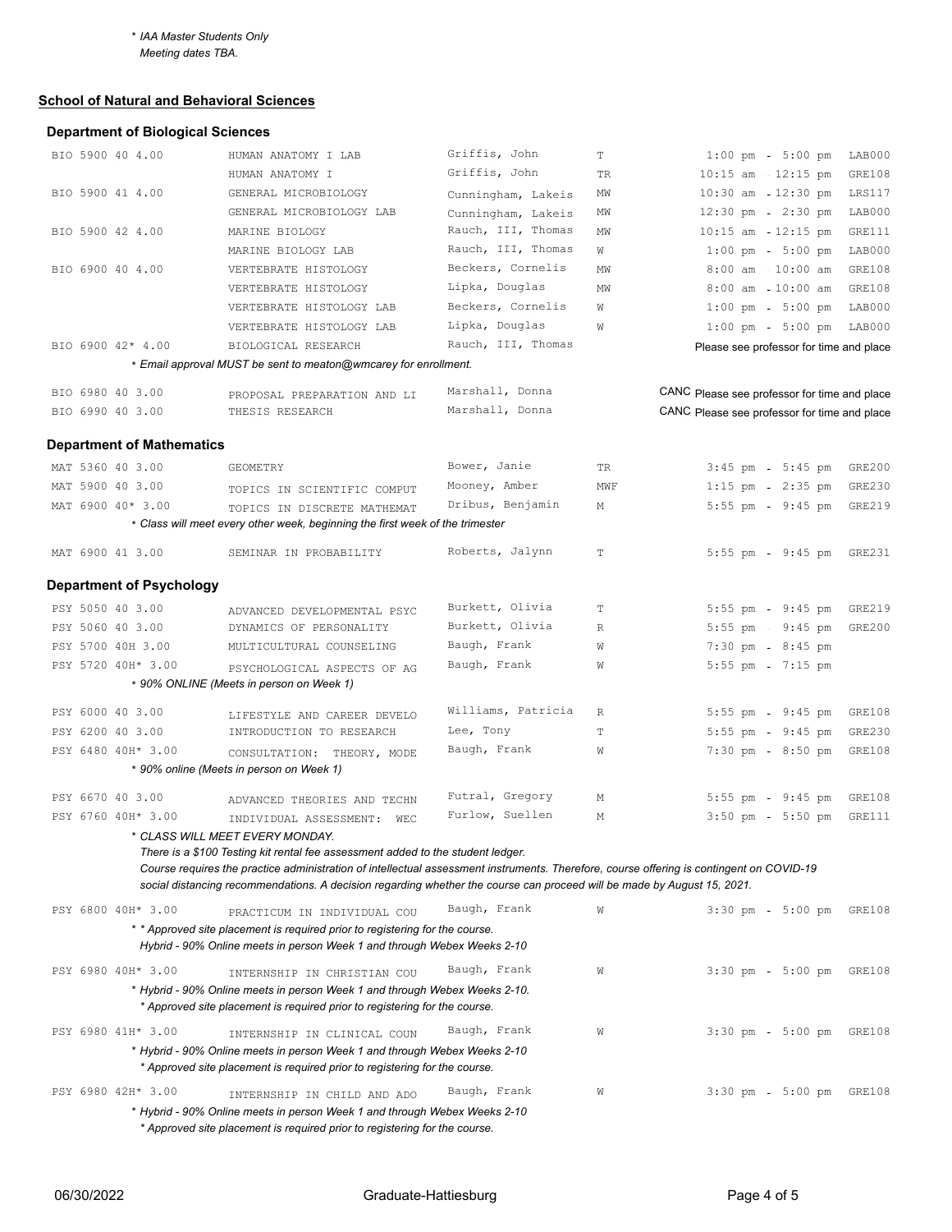*Meeting dates TBA.*

### **School of Natural and Behavioral Sciences**

# **Department of Biological Sciences**

| BIO 5900 40 4.00                 | HUMAN ANATOMY I LAB                                                                                                                                                                                                                                                 | Griffis, John                   | $\mathbf T$ | $1:00 \text{ pm } - 5:00 \text{ pm }$<br>LAB000  |
|----------------------------------|---------------------------------------------------------------------------------------------------------------------------------------------------------------------------------------------------------------------------------------------------------------------|---------------------------------|-------------|--------------------------------------------------|
|                                  | HUMAN ANATOMY I                                                                                                                                                                                                                                                     | Griffis, John                   | TR          | $10:15$ am $-12:15$ pm<br>GRE108                 |
| BIO 5900 41 4.00                 | GENERAL MICROBIOLOGY                                                                                                                                                                                                                                                | Cunningham, Lakeis              | ΜW          | 10:30 am 12:30 pm<br>LRS117                      |
|                                  | GENERAL MICROBIOLOGY LAB                                                                                                                                                                                                                                            | Cunningham, Lakeis              | ΜW          | $12:30 \text{ pm } - 2:30 \text{ pm }$<br>LAB000 |
| BIO 5900 42 4.00                 | MARINE BIOLOGY                                                                                                                                                                                                                                                      | Rauch, III, Thomas              | ΜW          | $10:15$ am - $12:15$ pm<br>GRE111                |
|                                  | MARINE BIOLOGY LAB                                                                                                                                                                                                                                                  | Rauch, III, Thomas              | W           | $1:00$ pm<br>$5:00$ pm<br>LAB000                 |
| BIO 6900 40 4.00                 | VERTEBRATE HISTOLOGY                                                                                                                                                                                                                                                | Beckers, Cornelis               | ΜW          | $8:00$ am $-10:00$ am<br>GRE108                  |
|                                  | VERTEBRATE HISTOLOGY                                                                                                                                                                                                                                                | Lipka, Douglas                  | MW          | $8:00$ am $-10:00$ am<br>GRE108                  |
|                                  | VERTEBRATE HISTOLOGY LAB                                                                                                                                                                                                                                            | Beckers, Cornelis               | W           | $5:00$ pm<br>$1:00$ pm<br>LAB000                 |
|                                  | VERTEBRATE HISTOLOGY LAB                                                                                                                                                                                                                                            | Lipka, Douglas                  | W           | 1:00 pm - 5:00 pm LAB000                         |
| BIO 6900 42* 4.00                | BIOLOGICAL RESEARCH                                                                                                                                                                                                                                                 | Rauch, III, Thomas              |             | Please see professor for time and place          |
|                                  | * Email approval MUST be sent to meaton@wmcarey for enrollment.                                                                                                                                                                                                     |                                 |             |                                                  |
| BIO 6980 40 3.00                 | PROPOSAL PREPARATION AND LI                                                                                                                                                                                                                                         | Marshall, Donna                 |             | CANC Please see professor for time and place     |
| BIO 6990 40 3.00                 | THESIS RESEARCH                                                                                                                                                                                                                                                     | Marshall, Donna                 |             | CANC Please see professor for time and place     |
|                                  |                                                                                                                                                                                                                                                                     |                                 |             |                                                  |
| <b>Department of Mathematics</b> |                                                                                                                                                                                                                                                                     |                                 |             |                                                  |
| MAT 5360 40 3.00                 | GEOMETRY                                                                                                                                                                                                                                                            | Bower, Janie                    | TR          | $3:45$ pm<br>$5:45$ pm<br>GRE200                 |
| MAT 5900 40 3.00                 | TOPICS IN SCIENTIFIC COMPUT                                                                                                                                                                                                                                         | Mooney, Amber                   | MWF         | $1:15$ pm<br>$2:35$ pm<br>GRE230                 |
| MAT 6900 40* 3.00                | TOPICS IN DISCRETE MATHEMAT                                                                                                                                                                                                                                         | Dribus, Benjamin                | Μ           | 5:55 pm - 9:45 pm<br>GRE219                      |
|                                  | * Class will meet every other week, beginning the first week of the trimester                                                                                                                                                                                       |                                 |             |                                                  |
| MAT 6900 41 3.00                 | SEMINAR IN PROBABILITY                                                                                                                                                                                                                                              | Roberts, Jalynn                 | T           | 5:55 pm - 9:45 pm GRE231                         |
|                                  |                                                                                                                                                                                                                                                                     |                                 |             |                                                  |
| <b>Department of Psychology</b>  |                                                                                                                                                                                                                                                                     |                                 |             |                                                  |
| PSY 5050 40 3.00                 | ADVANCED DEVELOPMENTAL PSYC                                                                                                                                                                                                                                         | Burkett, Olivia                 | Т           | $9:45$ pm<br>GRE219<br>$5:55$ pm                 |
| PSY 5060 40 3.00                 | DYNAMICS OF PERSONALITY                                                                                                                                                                                                                                             | Burkett, Olivia                 | R           | 5:55 pm - 9:45 pm<br><b>GRE200</b>               |
| PSY 5700 40H 3.00                | MULTICULTURAL COUNSELING                                                                                                                                                                                                                                            | Baugh, Frank                    | W           | $7:30$ pm<br>8:45 pm                             |
| PSY 5720 40H* 3.00               | PSYCHOLOGICAL ASPECTS OF AG                                                                                                                                                                                                                                         | Baugh, Frank                    | W           | $5:55$ pm<br>$7:15$ pm                           |
|                                  | * 90% ONLINE (Meets in person on Week 1)                                                                                                                                                                                                                            |                                 |             |                                                  |
|                                  |                                                                                                                                                                                                                                                                     |                                 |             |                                                  |
| PSY 6000 40 3.00                 | LIFESTYLE AND CAREER DEVELO                                                                                                                                                                                                                                         | Williams, Patricia<br>Lee, Tony | R           | $5:55$ pm<br>$9:45$ pm<br>GRE108                 |
| PSY 6200 40 3.00                 | INTRODUCTION TO RESEARCH                                                                                                                                                                                                                                            | Baugh, Frank                    | Т           | 5:55 pm - 9:45 pm<br>GRE230                      |
| PSY 6480 40H* 3.00               | CONSULTATION: THEORY, MODE                                                                                                                                                                                                                                          |                                 | W           | 7:30 pm - 8:50 pm<br>GRE108                      |
|                                  | * 90% online (Meets in person on Week 1)                                                                                                                                                                                                                            |                                 |             |                                                  |
| PSY 6670 40 3.00                 | ADVANCED THEORIES AND TECHN                                                                                                                                                                                                                                         | Futral, Gregory                 | М           | $5:55$ pm - $9:45$ pm<br>GRE108                  |
| PSY 6760 40H* 3.00               | INDIVIDUAL ASSESSMENT: WEC                                                                                                                                                                                                                                          | Furlow, Suellen                 | Μ           | $3:50$ pm<br>$5:50$ pm<br>GRE111                 |
|                                  | * CLASS WILL MEET EVERY MONDAY.                                                                                                                                                                                                                                     |                                 |             |                                                  |
|                                  | There is a \$100 Testing kit rental fee assessment added to the student ledger.                                                                                                                                                                                     |                                 |             |                                                  |
|                                  | Course requires the practice administration of intellectual assessment instruments. Therefore, course offering is contingent on COVID-19<br>social distancing recommendations. A decision regarding whether the course can proceed will be made by August 15, 2021. |                                 |             |                                                  |
|                                  |                                                                                                                                                                                                                                                                     |                                 |             |                                                  |
| PSY 6800 40H* 3.00               | PRACTICUM IN INDIVIDUAL COU                                                                                                                                                                                                                                         | Baugh, Frank                    | W           | $3:30$ pm<br>$5:00$ pm<br>GRE108                 |
|                                  | * * Approved site placement is required prior to registering for the course.                                                                                                                                                                                        |                                 |             |                                                  |
|                                  | Hybrid - 90% Online meets in person Week 1 and through Webex Weeks 2-10                                                                                                                                                                                             |                                 |             |                                                  |
| PSY 6980 40H* 3.00               | INTERNSHIP IN CHRISTIAN COU                                                                                                                                                                                                                                         | Baugh, Frank                    | W           | $3:30 \text{ pm } - 5:00 \text{ pm }$<br>GRE108  |
|                                  | * Hybrid - 90% Online meets in person Week 1 and through Webex Weeks 2-10.                                                                                                                                                                                          |                                 |             |                                                  |
|                                  | * Approved site placement is required prior to registering for the course.                                                                                                                                                                                          |                                 |             |                                                  |
| PSY 6980 41H* 3.00               | INTERNSHIP IN CLINICAL COUN                                                                                                                                                                                                                                         | Baugh, Frank                    | W           | 3:30 pm - 5:00 pm GRE108                         |
|                                  | * Hybrid - 90% Online meets in person Week 1 and through Webex Weeks 2-10                                                                                                                                                                                           |                                 |             |                                                  |
|                                  | * Approved site placement is required prior to registering for the course.                                                                                                                                                                                          |                                 |             |                                                  |
| PSY 6980 42H* 3.00               | INTERNSHIP IN CHILD AND ADO                                                                                                                                                                                                                                         | Baugh, Frank                    | W           | $3:30 \text{ pm } - 5:00 \text{ pm }$<br>GRE108  |
|                                  | * Hybrid - 90% Online meets in person Week 1 and through Webex Weeks 2-10                                                                                                                                                                                           |                                 |             |                                                  |
|                                  | * Approved site placement is required prior to registering for the course.                                                                                                                                                                                          |                                 |             |                                                  |